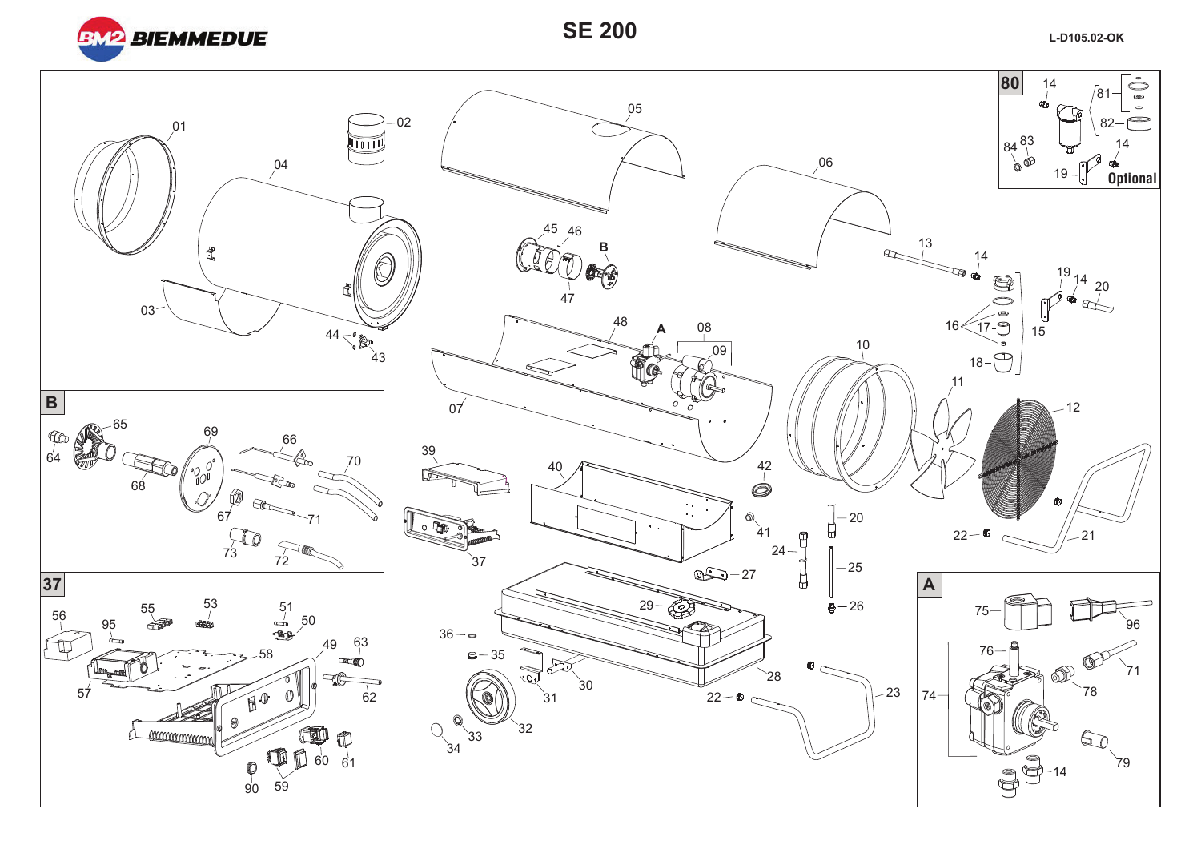

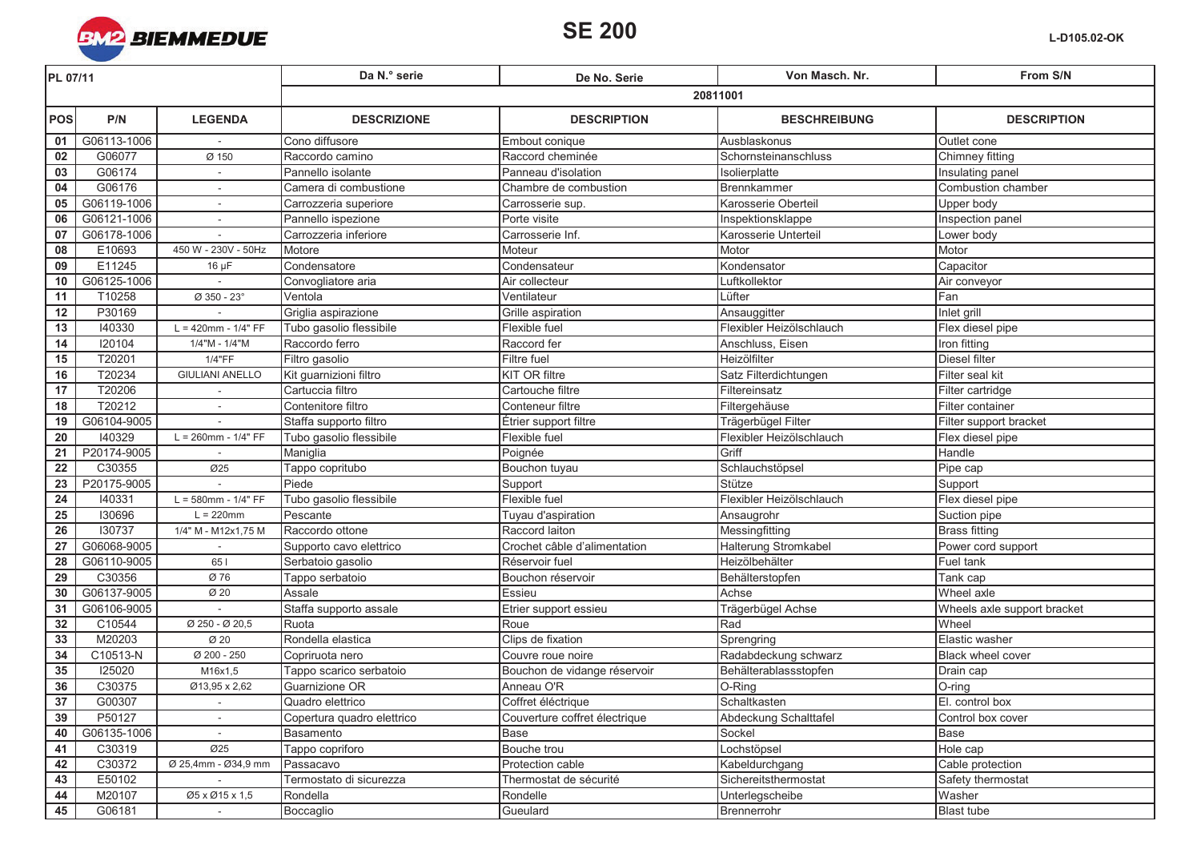

| PL 07/11        |             |                                  | Da N.º serie               | De No. Serie                  | Von Masch. Nr.           | From S/N                    |  |
|-----------------|-------------|----------------------------------|----------------------------|-------------------------------|--------------------------|-----------------------------|--|
|                 |             |                                  | 20811001                   |                               |                          |                             |  |
| <b>POS</b>      | P/N         | <b>LEGENDA</b>                   | <b>DESCRIZIONE</b>         | <b>DESCRIPTION</b>            | <b>BESCHREIBUNG</b>      | <b>DESCRIPTION</b>          |  |
| 01              | G06113-1006 |                                  | Cono diffusore             | Embout conique                | Ausblaskonus             | Outlet cone                 |  |
| 02              | G06077      | Ø 150                            | Raccordo camino            | Raccord cheminée              | Schornsteinanschluss     | Chimney fitting             |  |
| $\overline{03}$ | G06174      | $\overline{\phantom{a}}$         | Pannello isolante          | Panneau d'isolation           | Isolierplatte            | Insulating panel            |  |
| 04              | G06176      |                                  | Camera di combustione      | Chambre de combustion         | Brennkammer              | Combustion chamber          |  |
| 05              | G06119-1006 | $\sim$                           | Carrozzeria superiore      | Carrosserie sup.              | Karosserie Oberteil      | Upper body                  |  |
| 06              | G06121-1006 | $\sim$                           | Pannello ispezione         | Porte visite                  | Inspektionsklappe        | Inspection panel            |  |
| 07              | G06178-1006 |                                  | Carrozzeria inferiore      | Carrosserie Inf.              | Karosserie Unterteil     | Lower body                  |  |
| 08              | E10693      | 450 W - 230V - 50Hz              | Motore                     | Moteur                        | <b>Motor</b>             | Motor                       |  |
| 09              | E11245      | $16 \mu F$                       | Condensatore               | Condensateur                  | Kondensator              | Capacitor                   |  |
| 10              | G06125-1006 |                                  | Convogliatore aria         | Air collecteur                | Luftkollektor            | Air conveyor                |  |
| 11              | T10258      | Ø 350 - 23°                      | Ventola                    | Ventilateur                   | Lüfter                   | Fan                         |  |
| 12              | P30169      |                                  | Griglia aspirazione        | Grille aspiration             | Ansauggitter             | Inlet grill                 |  |
| 13              | 140330      | $L = 420$ mm - $1/4" FF$         | Tubo gasolio flessibile    | Flexible fuel                 | Flexibler Heizölschlauch | Flex diesel pipe            |  |
| 14              | 120104      | 1/4"M - 1/4"M                    | Raccordo ferro             | Raccord fer                   | Anschluss, Eisen         | Iron fitting                |  |
| 15              | T20201      | 1/4"FF                           | Filtro gasolio             | <b>Filtre</b> fuel            | Heizölfilter             | Diesel filter               |  |
| 16              | T20234      | <b>GIULIANI ANELLO</b>           | Kit guarnizioni filtro     | <b>KIT OR filtre</b>          | Satz Filterdichtungen    | Filter seal kit             |  |
| 17              | T20206      |                                  | Cartuccia filtro           | Cartouche filtre              | Filtereinsatz            | Filter cartridge            |  |
| 18              | T20212      | $\sim$                           | Contenitore filtro         | Conteneur filtre              | Filtergehäuse            | Filter container            |  |
| 19              | G06104-9005 |                                  | Staffa supporto filtro     | Étrier support filtre         | Trägerbügel Filter       | Filter support bracket      |  |
| 20              | 140329      | $L = 260$ mm - $1/4" FF$         | Tubo gasolio flessibile    | Flexible fuel                 | Flexibler Heizölschlauch | Flex diesel pipe            |  |
| 21              | P20174-9005 |                                  | Maniglia                   | Poignée                       | Griff                    | Handle                      |  |
| 22              | C30355      | Ø25                              | Tappo copritubo            | Bouchon tuyau                 | Schlauchstöpsel          | Pipe cap                    |  |
| 23              | P20175-9005 |                                  | Piede                      | Support                       | Stütze                   | Support                     |  |
| 24              | 140331      | $L = 580$ mm - 1/4" FF           | Tubo gasolio flessibile    | Flexible fuel                 | Flexibler Heizölschlauch | Flex diesel pipe            |  |
| 25              | 130696      | $L = 220$ mm                     | Pescante                   | Tuyau d'aspiration            | Ansaugrohr               | Suction pipe                |  |
| 26              | 130737      | 1/4" M - M12x1,75 M              | Raccordo ottone            | Raccord laiton                | Messingfitting           | <b>Brass fitting</b>        |  |
| 27              | G06068-9005 |                                  | Supporto cavo elettrico    | Crochet câble d'alimentation  | Halterung Stromkabel     | Power cord support          |  |
| $\overline{28}$ | G06110-9005 | 651                              | Serbatoio gasolio          | Réservoir fuel                | Heizölbehälter           | Fuel tank                   |  |
| 29              | C30356      | Ø 76                             | Tappo serbatoio            | Bouchon réservoir             | Behälterstopfen          | Tank cap                    |  |
| 30              | G06137-9005 | Ø 20                             | Assale                     | Essieu                        | Achse                    | Wheel axle                  |  |
| 31              | G06106-9005 |                                  | Staffa supporto assale     | Etrier support essieu         | Trägerbügel Achse        | Wheels axle support bracket |  |
| 32              | C10544      | Ø 250 - Ø 20,5                   | Ruota                      | Roue                          | Rad                      | Wheel                       |  |
| 33              | M20203      | Ø 20                             | Rondella elastica          | Clips de fixation             | Sprengring               | Elastic washer              |  |
| 34              | C10513-N    | $\overline{\emptyset}$ 200 - 250 | Copriruota nero            | Couvre roue noire             | Radabdeckung schwarz     | Black wheel cover           |  |
| 35              | 125020      | M16x1,5                          | Tappo scarico serbatoio    | Bouchon de vidange réservoir  | Behälterablassstopfen    | Drain cap                   |  |
| 36              | C30375      | Ø13,95 x 2,62                    | Guarnizione OR             | Anneau O'R                    | O-Ring                   | O-ring                      |  |
| 37              | G00307      |                                  | Quadro elettrico           | Coffret éléctrique            | Schaltkasten             | El. control box             |  |
| 39              | P50127      | $\sim$                           | Copertura quadro elettrico | Couverture coffret électrique | Abdeckung Schalttafel    | Control box cover           |  |
| 40              | G06135-1006 |                                  | Basamento                  | Base                          | Sockel                   | Base                        |  |
| 41              | C30319      | Ø25                              | Tappo copriforo            | Bouche trou                   | Lochstöpsel              | Hole cap                    |  |
| 42              | C30372      | Ø 25,4mm - Ø34,9 mm              | Passacavo                  | Protection cable              | Kabeldurchgang           | Cable protection            |  |
| 43              | E50102      |                                  | Termostato di sicurezza    | Thermostat de sécurité        | Sichereitsthermostat     | Safety thermostat           |  |
| 44              | M20107      | Ø5 x Ø15 x 1,5                   | Rondella                   | Rondelle                      | Unterlegscheibe          | Washer                      |  |
| 45              | G06181      | $\sim$                           | Boccaglio                  | Gueulard                      | Brennerrohr              | <b>Blast tube</b>           |  |